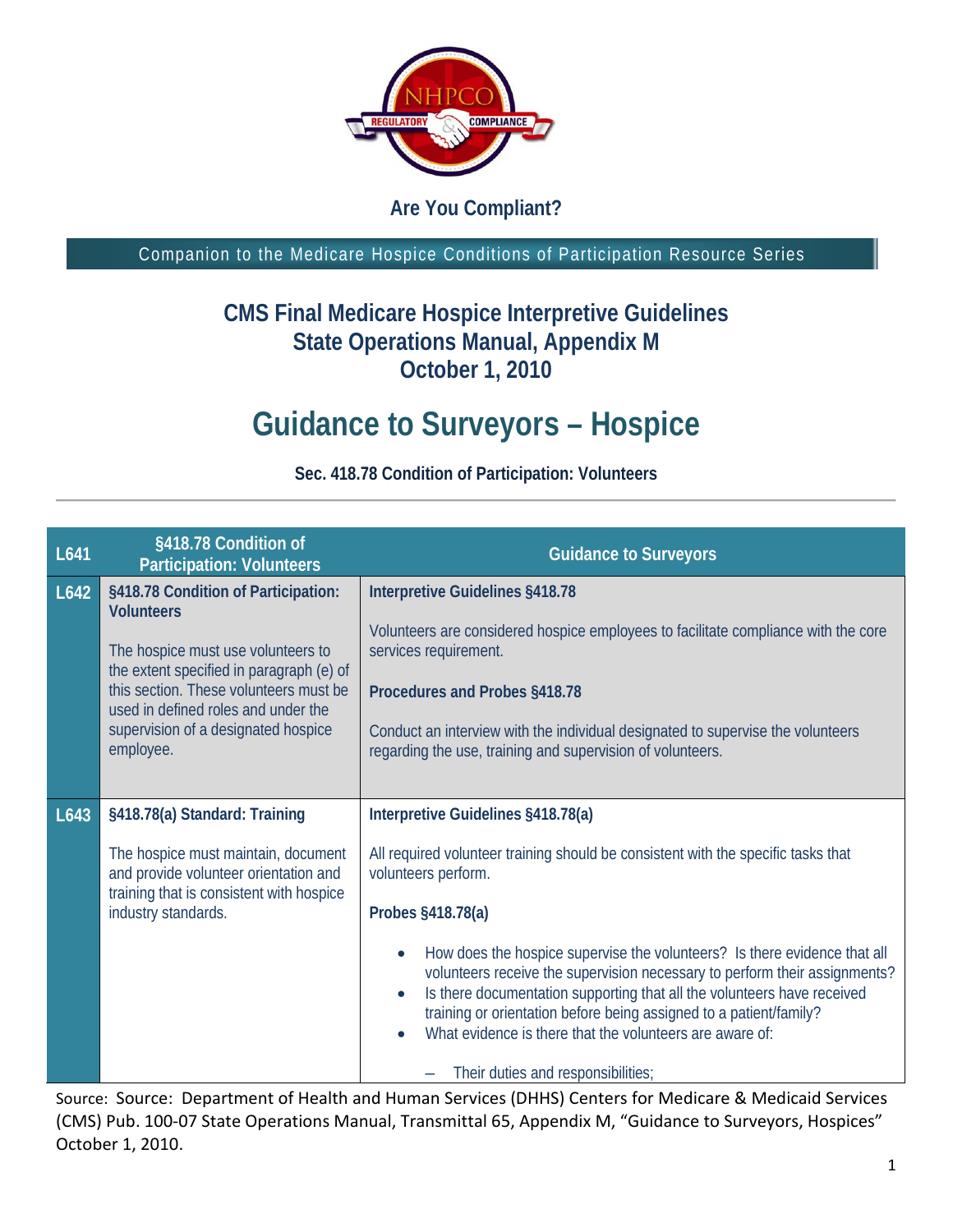

## **Are You Compliant?**

Companion to the Medicare Hospice Conditions of Participation Resource Series

## **CMS Final Medicare Hospice Interpretive Guidelines State Operations Manual, Appendix M October 1, 2010**

## **Guidance to Surveyors – Hospice**

| L641 | §418.78 Condition of<br><b>Participation: Volunteers</b>                       | <b>Guidance to Surveyors</b>                                                                                                                                                                                                                                                                                                                                         |
|------|--------------------------------------------------------------------------------|----------------------------------------------------------------------------------------------------------------------------------------------------------------------------------------------------------------------------------------------------------------------------------------------------------------------------------------------------------------------|
| L642 | §418.78 Condition of Participation:<br><b>Volunteers</b>                       | Interpretive Guidelines §418.78                                                                                                                                                                                                                                                                                                                                      |
|      | The hospice must use volunteers to<br>the extent specified in paragraph (e) of | Volunteers are considered hospice employees to facilitate compliance with the core<br>services requirement.                                                                                                                                                                                                                                                          |
|      | this section. These volunteers must be<br>used in defined roles and under the  | Procedures and Probes §418.78                                                                                                                                                                                                                                                                                                                                        |
|      | supervision of a designated hospice<br>employee.                               | Conduct an interview with the individual designated to supervise the volunteers<br>regarding the use, training and supervision of volunteers.                                                                                                                                                                                                                        |
|      |                                                                                |                                                                                                                                                                                                                                                                                                                                                                      |
| L643 | §418.78(a) Standard: Training                                                  | Interpretive Guidelines §418.78(a)                                                                                                                                                                                                                                                                                                                                   |
|      | The hospice must maintain, document<br>and provide volunteer orientation and   | All required volunteer training should be consistent with the specific tasks that<br>volunteers perform.                                                                                                                                                                                                                                                             |
|      | training that is consistent with hospice<br>industry standards.                | Probes §418.78(a)                                                                                                                                                                                                                                                                                                                                                    |
|      |                                                                                | How does the hospice supervise the volunteers? Is there evidence that all<br>volunteers receive the supervision necessary to perform their assignments?<br>Is there documentation supporting that all the volunteers have received<br>training or orientation before being assigned to a patient/family?<br>What evidence is there that the volunteers are aware of: |
|      |                                                                                | Their duties and responsibilities;                                                                                                                                                                                                                                                                                                                                   |

**Sec. 418.78 Condition of Participation: Volunteers**

Source: Source: Department of Health and Human Services (DHHS) Centers for Medicare & Medicaid Services (CMS) Pub. 100-07 State Operations Manual, Transmittal 65, Appendix M, "Guidance to Surveyors, Hospices" October 1, 2010.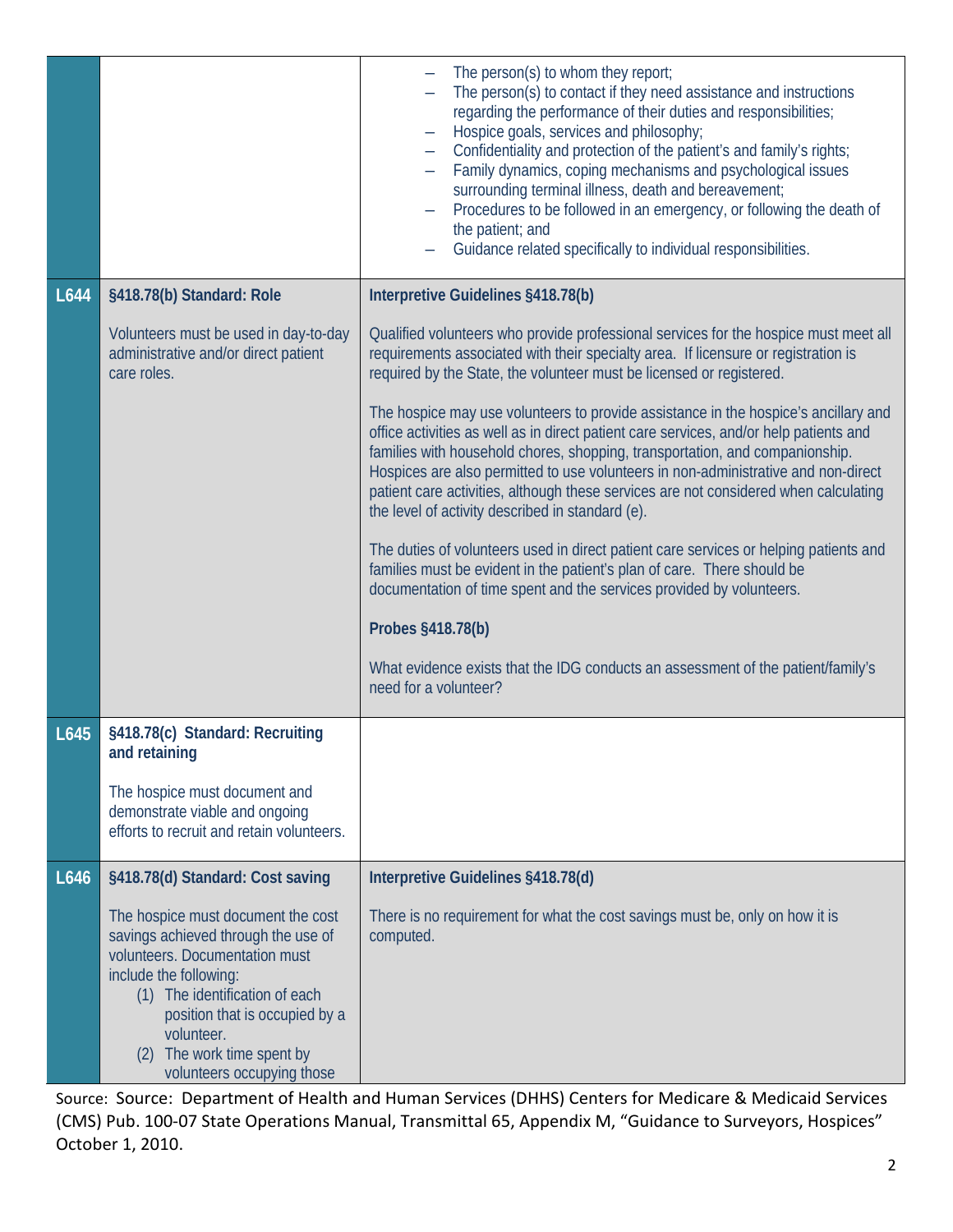|      |                                                                                                                                                                                                                                                                                        | The person(s) to whom they report;<br>The person(s) to contact if they need assistance and instructions<br>regarding the performance of their duties and responsibilities;<br>Hospice goals, services and philosophy;<br>Confidentiality and protection of the patient's and family's rights;<br>Family dynamics, coping mechanisms and psychological issues<br>surrounding terminal illness, death and bereavement;<br>Procedures to be followed in an emergency, or following the death of<br>the patient; and<br>Guidance related specifically to individual responsibilities. |
|------|----------------------------------------------------------------------------------------------------------------------------------------------------------------------------------------------------------------------------------------------------------------------------------------|-----------------------------------------------------------------------------------------------------------------------------------------------------------------------------------------------------------------------------------------------------------------------------------------------------------------------------------------------------------------------------------------------------------------------------------------------------------------------------------------------------------------------------------------------------------------------------------|
| L644 | §418.78(b) Standard: Role                                                                                                                                                                                                                                                              | Interpretive Guidelines §418.78(b)                                                                                                                                                                                                                                                                                                                                                                                                                                                                                                                                                |
|      | Volunteers must be used in day-to-day<br>administrative and/or direct patient<br>care roles.                                                                                                                                                                                           | Qualified volunteers who provide professional services for the hospice must meet all<br>requirements associated with their specialty area. If licensure or registration is<br>required by the State, the volunteer must be licensed or registered.                                                                                                                                                                                                                                                                                                                                |
|      |                                                                                                                                                                                                                                                                                        | The hospice may use volunteers to provide assistance in the hospice's ancillary and<br>office activities as well as in direct patient care services, and/or help patients and<br>families with household chores, shopping, transportation, and companionship.<br>Hospices are also permitted to use volunteers in non-administrative and non-direct<br>patient care activities, although these services are not considered when calculating<br>the level of activity described in standard (e).                                                                                   |
|      |                                                                                                                                                                                                                                                                                        | The duties of volunteers used in direct patient care services or helping patients and<br>families must be evident in the patient's plan of care. There should be<br>documentation of time spent and the services provided by volunteers.                                                                                                                                                                                                                                                                                                                                          |
|      |                                                                                                                                                                                                                                                                                        | Probes §418.78(b)                                                                                                                                                                                                                                                                                                                                                                                                                                                                                                                                                                 |
|      |                                                                                                                                                                                                                                                                                        | What evidence exists that the IDG conducts an assessment of the patient/family's<br>need for a volunteer?                                                                                                                                                                                                                                                                                                                                                                                                                                                                         |
| L645 | §418.78(c) Standard: Recruiting<br>and retaining                                                                                                                                                                                                                                       |                                                                                                                                                                                                                                                                                                                                                                                                                                                                                                                                                                                   |
|      | The hospice must document and<br>demonstrate viable and ongoing<br>efforts to recruit and retain volunteers.                                                                                                                                                                           |                                                                                                                                                                                                                                                                                                                                                                                                                                                                                                                                                                                   |
| L646 | §418.78(d) Standard: Cost saving                                                                                                                                                                                                                                                       | Interpretive Guidelines §418.78(d)                                                                                                                                                                                                                                                                                                                                                                                                                                                                                                                                                |
|      | The hospice must document the cost<br>savings achieved through the use of<br>volunteers. Documentation must<br>include the following:<br>(1) The identification of each<br>position that is occupied by a<br>volunteer.<br>The work time spent by<br>(2)<br>volunteers occupying those | There is no requirement for what the cost savings must be, only on how it is<br>computed.                                                                                                                                                                                                                                                                                                                                                                                                                                                                                         |

Source: Source: Department of Health and Human Services (DHHS) Centers for Medicare & Medicaid Services (CMS) Pub. 100-07 State Operations Manual, Transmittal 65, Appendix M, "Guidance to Surveyors, Hospices" October 1, 2010.